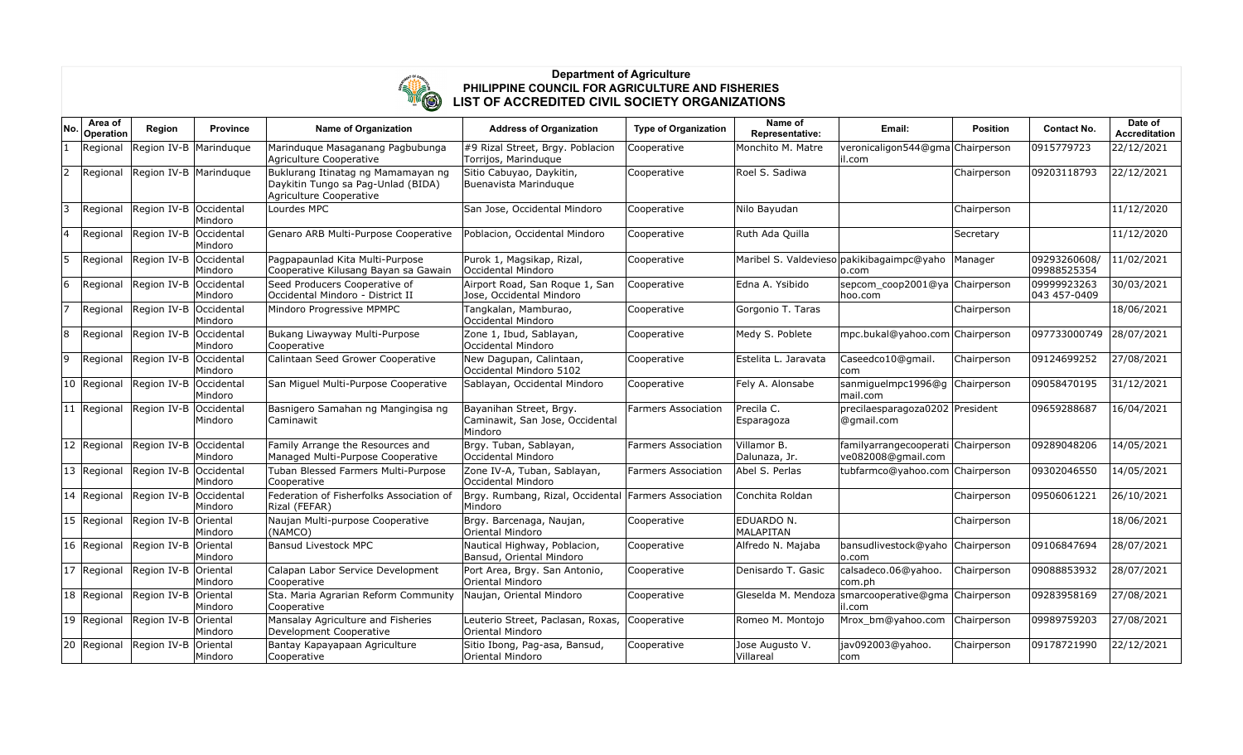

## **Department of Agriculture PHILIPPINE COUNCIL FOR AGRICULTURE AND FISHERIES LIST OF ACCREDITED CIVIL SOCIETY ORGANIZATIONS**

| <b>No</b>    | Area of<br>Operation | Region                          | <b>Province</b>        | <b>Name of Organization</b>                                                                         | <b>Address of Organization</b>                                        | <b>Type of Organization</b> | Name of<br>Representative:     | Email:                                                        | <b>Position</b> | <b>Contact No.</b>          | Date of<br><b>Accreditation</b> |
|--------------|----------------------|---------------------------------|------------------------|-----------------------------------------------------------------------------------------------------|-----------------------------------------------------------------------|-----------------------------|--------------------------------|---------------------------------------------------------------|-----------------|-----------------------------|---------------------------------|
|              | Regional             |                                 | Region IV-B Marinduque | Marindugue Masaganang Pagbubunga<br>Agriculture Cooperative                                         | #9 Rizal Street, Brgy. Poblacion<br>Torrijos, Marinduque              | Cooperative                 | Monchito M. Matre              | veronicaligon544@gma Chairperson<br> il.com                   |                 | 0915779723                  | 22/12/2021                      |
| 2            | Regional             |                                 | Region IV-B Marinduque | Buklurang Itinatag ng Mamamayan ng<br>Daykitin Tungo sa Pag-Unlad (BIDA)<br>Agriculture Cooperative | Sitio Cabuyao, Daykitin,<br>Buenavista Marinduque                     | Cooperative                 | Roel S. Sadiwa                 |                                                               | Chairperson     | 09203118793                 | 22/12/2021                      |
| 3            | Regional             | Region IV-B Occidental          | Mindoro                | Lourdes MPC                                                                                         | San Jose, Occidental Mindoro                                          | Cooperative                 | Nilo Bavudan                   |                                                               | Chairperson     |                             | 11/12/2020                      |
| 14           | Regional             | Region IV-B Occidental          | Mindoro                | Genaro ARB Multi-Purpose Cooperative                                                                | Poblacion, Occidental Mindoro                                         | Cooperative                 | Ruth Ada Quilla                |                                                               | Secretary       |                             | 11/12/2020                      |
| l5.          | Regional             | Region IV-B Occidental          | Mindoro                | Pagpapaunlad Kita Multi-Purpose<br>Cooperative Kilusang Bayan sa Gawain                             | Purok 1, Magsikap, Rizal,<br>Occidental Mindoro                       | Cooperative                 |                                | Maribel S. Valdevieso pakikibagaimpc@yaho<br> o.com           | Manager         | 09293260608/<br>09988525354 | 11/02/2021                      |
| 6            |                      | Regional Region IV-B Occidental | Mindoro                | Seed Producers Cooperative of<br>Occidental Mindoro - District II                                   | Airport Road, San Roque 1, San<br>Jose, Occidental Mindoro            | Cooperative                 | Edna A. Ysibido                | sepcom_coop2001@ya Chairperson<br>lhoo.com                    |                 | 09999923263<br>043 457-0409 | 30/03/2021                      |
|              | Regional             | Region IV-B                     | Occidental<br>Mindoro  | Mindoro Progressive MPMPC                                                                           | Tangkalan, Mamburao,<br>Occidental Mindoro                            | Cooperative                 | Gorgonio T. Taras              |                                                               | Chairperson     |                             | 18/06/2021                      |
| 8            | Regional             | Region IV-B Occidental          | Mindoro                | Bukang Liwayway Multi-Purpose<br>Cooperative                                                        | Zone 1, Ibud, Sablayan,<br>Occidental Mindoro                         | Cooperative                 | Medy S. Poblete                | mpc.bukal@yahoo.com Chairperson                               |                 | 097733000749                | 28/07/2021                      |
| 9            | Regional             | Region IV-B Occidental          | Mindoro                | Calintaan Seed Grower Cooperative                                                                   | New Dagupan, Calintaan,<br>Occidental Mindoro 5102                    | Cooperative                 | Estelita L. Jaravata           | Caseedco10@gmail.<br> com                                     | Chairperson     | 09124699252                 | 27/08/2021                      |
|              | 10 Regional          | Region IV-B Occidental          | Mindoro                | San Miguel Multi-Purpose Cooperative                                                                | Sablayan, Occidental Mindoro                                          | Cooperative                 | Fely A. Alonsabe               | sanmiguelmpc1996@g<br>mail.com                                | Chairperson     | 09058470195                 | 31/12/2021                      |
| $ 11\rangle$ | Regional             | Region IV-B Occidental          | Mindoro                | Basnigero Samahan ng Mangingisa ng<br>Caminawit                                                     | Bayanihan Street, Brgy.<br>Caminawit, San Jose, Occidental<br>Mindoro | <b>Farmers Association</b>  | Precila C.<br>Esparagoza       | precilaesparagoza0202 President<br>@gmail.com                 |                 | 09659288687                 | 16/04/2021                      |
| 12           |                      | Regional Region IV-B Occidental | Mindoro                | Family Arrange the Resources and<br>Managed Multi-Purpose Cooperative                               | Brgy. Tuban, Sablayan,<br>Occidental Mindoro                          | <b>Farmers Association</b>  | Villamor B.<br>Dalunaza, Jr.   | familyarrangecooperati Chairperson<br>ve082008@gmail.com      |                 | 09289048206                 | 14/05/2021                      |
|              | 13 Regional          | Region IV-B                     | Occidental<br>Mindoro  | Tuban Blessed Farmers Multi-Purpose<br>Cooperative                                                  | Zone IV-A, Tuban, Sablayan,<br>Occidental Mindoro                     | <b>Farmers Association</b>  | Abel S. Perlas                 | tubfarmco@yahoo.com Chairperson                               |                 | 09302046550                 | 14/05/2021                      |
|              | 14 Regional          | Region IV-B Occidental          | Mindoro                | Federation of Fisherfolks Association of<br>Rizal (FEFAR)                                           | Brgy. Rumbang, Rizal, Occidental Farmers Association<br>Mindoro       |                             | Conchita Roldan                |                                                               | Chairperson     | 09506061221                 | 26/10/2021                      |
|              | 15 Regional          | Region IV-B Oriental            | Mindoro                | Naujan Multi-purpose Cooperative<br>(NAMCO)                                                         | Brgy. Barcenaga, Naujan,<br>Oriental Mindoro                          | Cooperative                 | EDUARDO N.<br><b>MALAPITAN</b> |                                                               | Chairperson     |                             | 18/06/2021                      |
|              | 16 Regional          | Region IV-B                     | Oriental<br>Mindoro    | Bansud Livestock MPC                                                                                | Nautical Highway, Poblacion,<br>Bansud, Oriental Mindoro              | Cooperative                 | Alfredo N. Majaba              | bansudlivestock@yaho<br> o.com                                | Chairperson     | 09106847694                 | 28/07/2021                      |
| 17           | Regional             | Region IV-B Oriental            | Mindoro                | Calapan Labor Service Development<br>Cooperative                                                    | Port Area, Brgy. San Antonio,<br>Oriental Mindoro                     | Cooperative                 | Denisardo T. Gasic             | calsadeco.06@yahoo.<br>com.ph                                 | Chairperson     | 09088853932                 | 28/07/2021                      |
|              | 18 Regional          | Region IV-B Oriental            | Mindoro                | Sta. Maria Agrarian Reform Community<br>Cooperative                                                 | Naujan, Oriental Mindoro                                              | Cooperative                 |                                | Gleselda M. Mendoza Smarcooperative@gma Chairperson<br>il.com |                 | 09283958169                 | 27/08/2021                      |
|              | 19 Regional          | Region IV-B Oriental            | Mindoro                | Mansalay Agriculture and Fisheries<br>Development Cooperative                                       | Leuterio Street, Paclasan, Roxas,<br>Oriental Mindoro                 | Cooperative                 | Romeo M. Montojo               | Mrox_bm@yahoo.com                                             | Chairperson     | 09989759203                 | 27/08/2021                      |
|              | 20 Regional          | Region IV-B Oriental            | Mindoro                | Bantay Kapayapaan Agriculture<br>Cooperative                                                        | Sitio Ibong, Pag-asa, Bansud,<br>Oriental Mindoro                     | Cooperative                 | Jose Augusto V.<br>Villareal   | jav092003@yahoo.<br>com                                       | Chairperson     | 09178721990                 | 22/12/2021                      |